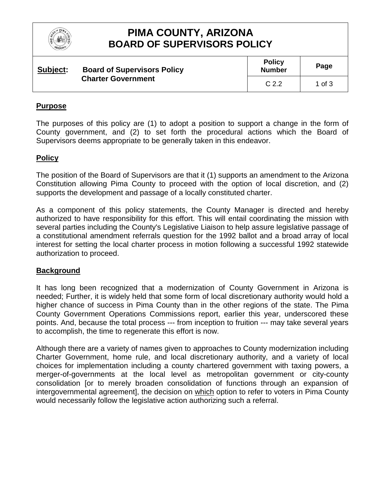

# **PIMA COUNTY, ARIZONA BOARD OF SUPERVISORS POLICY**

| Subject: | <b>Board of Supervisors Policy</b><br><b>Charter Government</b> | <b>Policy</b><br><b>Number</b> | Page     |
|----------|-----------------------------------------------------------------|--------------------------------|----------|
|          |                                                                 | C <sub>2.2</sub>               | 1 of $3$ |

### **Purpose**

The purposes of this policy are (1) to adopt a position to support a change in the form of County government, and (2) to set forth the procedural actions which the Board of Supervisors deems appropriate to be generally taken in this endeavor.

### **Policy**

The position of the Board of Supervisors are that it (1) supports an amendment to the Arizona Constitution allowing Pima County to proceed with the option of local discretion, and (2) supports the development and passage of a locally constituted charter.

As a component of this policy statements, the County Manager is directed and hereby authorized to have responsibility for this effort. This will entail coordinating the mission with several parties including the County's Legislative Liaison to help assure legislative passage of a constitutional amendment referrals question for the 1992 ballot and a broad array of local interest for setting the local charter process in motion following a successful 1992 statewide authorization to proceed.

#### **Background**

It has long been recognized that a modernization of County Government in Arizona is needed; Further, it is widely held that some form of local discretionary authority would hold a higher chance of success in Pima County than in the other regions of the state. The Pima County Government Operations Commissions report, earlier this year, underscored these points. And, because the total process --- from inception to fruition --- may take several years to accomplish, the time to regenerate this effort is now.

Although there are a variety of names given to approaches to County modernization including Charter Government, home rule, and local discretionary authority, and a variety of local choices for implementation including a county chartered government with taxing powers, a merger-of-governments at the local level as metropolitan government or city-county consolidation [or to merely broaden consolidation of functions through an expansion of intergovernmental agreement], the decision on which option to refer to voters in Pima County would necessarily follow the legislative action authorizing such a referral.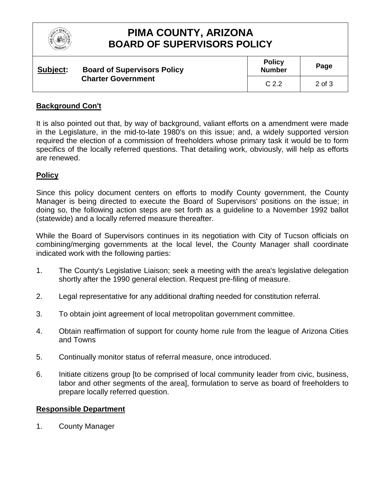| RIZO |
|------|
|      |

# **PIMA COUNTY, ARIZONA BOARD OF SUPERVISORS POLICY**

| Subject: | <b>Board of Supervisors Policy</b><br><b>Charter Government</b> | <b>Policy</b><br><b>Number</b> | Page   |
|----------|-----------------------------------------------------------------|--------------------------------|--------|
|          |                                                                 | C <sub>2.2</sub>               | 2 of 3 |

## **Background Con't**

It is also pointed out that, by way of background, valiant efforts on a amendment were made in the Legislature, in the mid-to-late 1980's on this issue; and, a widely supported version required the election of a commission of freeholders whose primary task it would be to form specifics of the locally referred questions. That detailing work, obviously, will help as efforts are renewed.

## **Policy**

Since this policy document centers on efforts to modify County government, the County Manager is being directed to execute the Board of Supervisors' positions on the issue; in doing so, the following action steps are set forth as a guideline to a November 1992 ballot (statewide) and a locally referred measure thereafter.

While the Board of Supervisors continues in its negotiation with City of Tucson officials on combining/merging governments at the local level, the County Manager shall coordinate indicated work with the following parties:

- 1. The County's Legislative Liaison; seek a meeting with the area's legislative delegation shortly after the 1990 general election. Request pre-filing of measure.
- 2. Legal representative for any additional drafting needed for constitution referral.
- 3. To obtain joint agreement of local metropolitan government committee.
- 4. Obtain reaffirmation of support for county home rule from the league of Arizona Cities and Towns
- 5. Continually monitor status of referral measure, once introduced.
- 6. Initiate citizens group [to be comprised of local community leader from civic, business, labor and other segments of the area], formulation to serve as board of freeholders to prepare locally referred question.

#### **Responsible Department**

1. County Manager